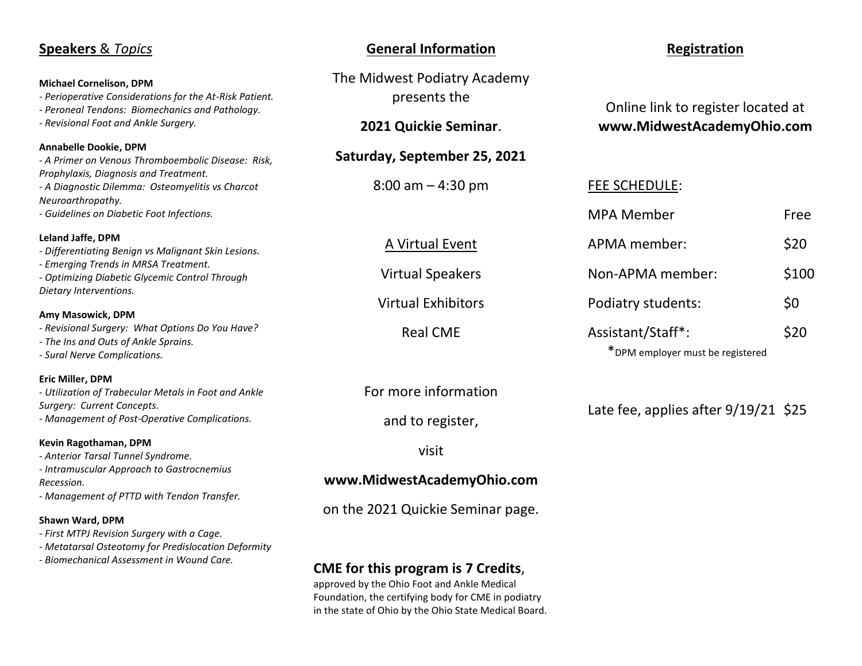| <b>Speakers &amp; Topics</b>                                                                                                                                                                                    | <b>General Information</b>                                                                                                                                                                               | <b>Registration</b>                                              |       |
|-----------------------------------------------------------------------------------------------------------------------------------------------------------------------------------------------------------------|----------------------------------------------------------------------------------------------------------------------------------------------------------------------------------------------------------|------------------------------------------------------------------|-------|
| <b>Michael Cornelison, DPM</b><br>- Perioperative Considerations for the At-Risk Patient.<br>- Peroneal Tendons: Biomechanics and Pathology.<br>- Revisional Foot and Ankle Surgery.                            | The Midwest Podiatry Academy<br>presents the<br>2021 Quickie Seminar.                                                                                                                                    | Online link to register located at<br>www.MidwestAcademyOhio.com |       |
| Annabelle Dookie, DPM<br>- A Primer on Venous Thromboembolic Disease: Risk,                                                                                                                                     | Saturday, September 25, 2021                                                                                                                                                                             |                                                                  |       |
| Prophylaxis, Diagnosis and Treatment.<br>- A Diagnostic Dilemma: Osteomyelitis vs Charcot<br>Neuroarthropathy.                                                                                                  | $8:00$ am $-4:30$ pm                                                                                                                                                                                     | <b>FEE SCHEDULE:</b>                                             |       |
| - Guidelines on Diabetic Foot Infections.                                                                                                                                                                       |                                                                                                                                                                                                          | <b>MPA Member</b>                                                | Free  |
| Leland Jaffe, DPM<br>- Differentiating Benign vs Malignant Skin Lesions.<br>- Emerging Trends in MRSA Treatment.<br>- Optimizing Diabetic Glycemic Control Through<br>Dietary Interventions.                    | A Virtual Event                                                                                                                                                                                          | APMA member:                                                     | \$20  |
|                                                                                                                                                                                                                 | <b>Virtual Speakers</b>                                                                                                                                                                                  | Non-APMA member:                                                 | \$100 |
| Amy Masowick, DPM                                                                                                                                                                                               | <b>Virtual Exhibitors</b>                                                                                                                                                                                | Podiatry students:                                               | \$0   |
| - Revisional Surgery: What Options Do You Have?<br>- The Ins and Outs of Ankle Sprains.<br>- Sural Nerve Complications.                                                                                         | <b>Real CME</b>                                                                                                                                                                                          | Assistant/Staff*:<br>*DPM employer must be registered            | \$20  |
| Eric Miller, DPM<br>- Utilization of Trabecular Metals in Foot and Ankle<br>Surgery: Current Concepts.<br>- Management of Post-Operative Complications.                                                         | For more information<br>and to register,                                                                                                                                                                 | Late fee, applies after $9/19/21$ \$25                           |       |
| Kevin Ragothaman, DPM<br>- Anterior Tarsal Tunnel Syndrome.                                                                                                                                                     | visit                                                                                                                                                                                                    |                                                                  |       |
| - Intramuscular Approach to Gastrocnemius<br>Recession.                                                                                                                                                         | www.MidwestAcademyOhio.com                                                                                                                                                                               |                                                                  |       |
| - Management of PTTD with Tendon Transfer.<br>Shawn Ward, DPM<br>- First MTPJ Revision Surgery with a Cage.<br>- Metatarsal Osteotomy for Predislocation Deformity<br>- Biomechanical Assessment in Wound Care. | on the 2021 Quickie Seminar page.                                                                                                                                                                        |                                                                  |       |
|                                                                                                                                                                                                                 | <b>CME for this program is 7 Credits,</b><br>approved by the Ohio Foot and Ankle Medical<br>Foundation, the certifying body for CME in podiatry<br>in the state of Ohio by the Ohio State Medical Board. |                                                                  |       |